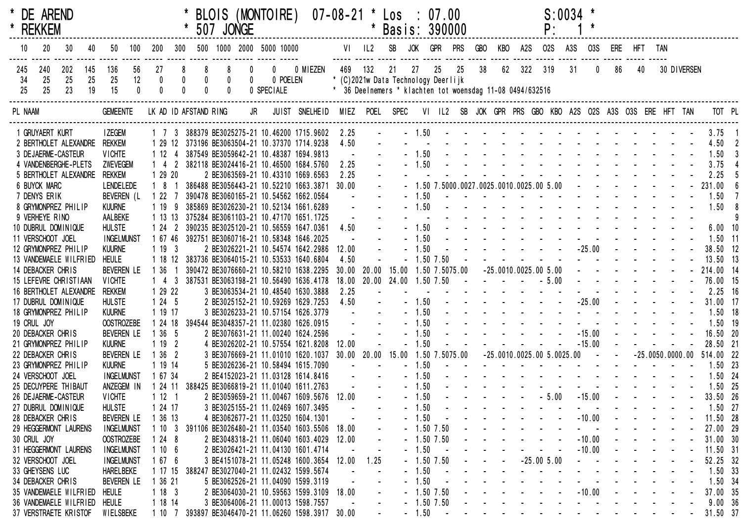|                  | * DE AREND<br>* REKKEM |                        |                 |                                        |          |                  |                |                                | 507 JONGE |           | BLOIS (MONTOIRE)                                                                 |                | $07 - 08 - 21$ | $\star$    | Los<br>Basis: 390000                                                                                   |         | $\therefore$ 07.00 |                |     |     |     |                                            | $S:0034$ * |            |                                                                                                                                                                                                                                |             |                    |                      |  |
|------------------|------------------------|------------------------|-----------------|----------------------------------------|----------|------------------|----------------|--------------------------------|-----------|-----------|----------------------------------------------------------------------------------|----------------|----------------|------------|--------------------------------------------------------------------------------------------------------|---------|--------------------|----------------|-----|-----|-----|--------------------------------------------|------------|------------|--------------------------------------------------------------------------------------------------------------------------------------------------------------------------------------------------------------------------------|-------------|--------------------|----------------------|--|
| 10               | 20                     |                        | 40              | 50                                     | 100      | 200              | 300            |                                |           |           | 500 1000 2000 5000 10000                                                         |                |                | $VI$ $IL2$ | SB                                                                                                     | JOK     | GPR                | <b>PRS</b>     | GBO | KBO | A2S | <b>02S</b>                                 | A3S        | <b>03S</b> |                                                                                                                                                                                                                                | ERE HFT TAN |                    |                      |  |
| 245<br>-34<br>25 | 240<br>25<br>25        | 202<br>25<br>23        | 145<br>25<br>19 | 136<br>25<br>15                        | 56<br>12 | 27<br>$\pmb{0}$  | 8<br>$\pmb{0}$ | 8<br>$\pmb{0}$<br>$\mathbf{0}$ | 8         | $\pmb{0}$ | $\mathbf{0}$<br>0 POELEN<br>0 SPECIALE                                           | 0 MIEZEN       | 469            | 132        | 21<br>* (C)2021w Data Technology Deerlijk<br>* 36 Deelnemers * klachten tot woensdag 11-08 0494/632516 | 27      | 25                 | 25             | 38  | 62  | 322 | 319                                        | 31         |            | 86                                                                                                                                                                                                                             | 40          | 30 DIVERSEN        |                      |  |
| PL NAAM          |                        |                        |                 | <b>GEMEENTE</b>                        |          |                  |                | LK AD ID AFSTAND RING          |           | JR        |                                                                                  | JUIST SNELHEID |                |            | MIEZ POEL SPEC                                                                                         |         |                    |                |     |     |     |                                            |            |            | VI IL2 SB JOK GPR PRS GBO KBO A2S O2S A3S O3S ERE HFT TAN                                                                                                                                                                      |             |                    | TOT PL               |  |
|                  | 1 GRUYAERT KURT        |                        |                 | <b>I ZEGEM</b>                         |          |                  |                |                                |           |           | 1 7 3 388379 BE3025275-21 10.46200 1715.9602                                     |                | 2.25           |            |                                                                                                        |         |                    |                |     |     |     |                                            |            |            | $-1.50$ . The second contract of the second contract of the second contract of $\sim$                                                                                                                                          |             |                    | 3.75                 |  |
|                  |                        |                        |                 | 2 BERTHOLET ALEXANDRE REKKEM           |          | 1 29 12          |                |                                |           |           | 373196 BE3063504-21 10.37370 1714.9238                                           |                | 4.50           |            |                                                                                                        |         |                    |                |     |     |     |                                            |            |            |                                                                                                                                                                                                                                |             |                    | 4.50                 |  |
|                  |                        | 3 DE JAERME-CASTEUR    |                 | <b>VICHTE</b>                          |          | 1 12             |                |                                |           |           | 387549 BE3059642-21 10.48387 1694.9813                                           |                |                |            |                                                                                                        | $-1.50$ |                    |                |     |     |     |                                            |            |            | the second contract of the second contract of the second contract of the second contract of the second contract of the second contract of the second contract of the second contract of the second contract of the second cont |             |                    | 1.50                 |  |
|                  |                        | 4 VANDENBERGHE-PLETS   |                 | ZWEVEGEM                               |          | $1\quad 4$       |                |                                |           |           | 382118 BE3024416-21 10.46500 1684.5760                                           |                | 2.25           |            |                                                                                                        | $-1.50$ |                    |                |     |     |     |                                            |            |            |                                                                                                                                                                                                                                |             |                    | 3.75                 |  |
|                  |                        | 5 BERTHOLET ALEXANDRE  |                 | <b>REKKEM</b>                          |          | 1 29 20          |                |                                |           |           | 2 BE3063569-21 10.43310 1669.6563                                                |                | 2.25           |            |                                                                                                        |         |                    |                |     |     |     |                                            |            |            |                                                                                                                                                                                                                                |             |                    | 2.25                 |  |
|                  | <b>6 BUYCK MARC</b>    |                        |                 | <b>LENDELEDE</b>                       |          | 181              |                |                                |           |           | 386488 BE3056443-21 10.52210 1663.3871                                           |                | 30.00          |            |                                                                                                        |         |                    |                |     |     |     | $-1.50$ 7.5000.0027.0025.0010.0025.00 5.00 |            |            | $\mathbf{L}^{\text{max}}$ , and $\mathbf{L}^{\text{max}}$ , and $\mathbf{L}^{\text{max}}$<br>and a strain and a strain and a strain and                                                                                        |             |                    | 231.00               |  |
|                  | 7 DENYS ERIK           |                        |                 | BEVEREN (L                             |          | 1227             |                |                                |           |           | 390478 BE3060165-21 10.54562 1662.0564                                           |                |                |            |                                                                                                        | $-1.50$ |                    |                |     |     |     |                                            |            |            |                                                                                                                                                                                                                                |             |                    | 1.50                 |  |
|                  |                        | 8 GRYMONPREZ PHILIP    |                 | <b>KUURNE</b>                          |          | 1 19             |                |                                |           |           | 385869 BE3026230-21 10.52134 1661.6289                                           |                |                |            |                                                                                                        | $-1.50$ |                    |                |     |     |     |                                            |            |            |                                                                                                                                                                                                                                |             |                    | 1.50                 |  |
|                  | 9 VERHEYE RINO         | 10 DUBRUL DOMINIQUE    |                 | AALBEKE<br><b>HULSTE</b>               |          | 1 13 13<br>$124$ |                |                                |           |           | 375284 BE3061103-21 10.47170 1651.1725<br>390235 BE3025120-21 10.56559 1647.0361 |                | 4.50           |            |                                                                                                        | $-1.50$ |                    |                |     |     |     |                                            |            |            | and the second contract of the second second                                                                                                                                                                                   |             |                    | $6.00$ 10            |  |
|                  | 11 VERSCHOOT JOEL      |                        |                 | <b>INGELMUNST</b>                      |          | 1 67 46          |                |                                |           |           | 392751 BE3060716-21 10.58348 1646.2025                                           |                |                |            |                                                                                                        | $-1.50$ |                    |                |     |     |     |                                            |            |            |                                                                                                                                                                                                                                |             |                    | $1.50$ 11            |  |
|                  |                        | 12 GRYMONPREZ PHILIP   |                 | <b>KUURNE</b>                          |          | 1193             |                |                                |           |           | 2 BE3026221-21 10.54574 1642.2986                                                |                | 12.00          |            |                                                                                                        | $-1.50$ |                    |                |     |     |     |                                            |            |            | $-25.00$ - - -                                                                                                                                                                                                                 |             |                    | 38.50 12             |  |
|                  |                        | 13 VANDEMAELE WILFRIED |                 | <b>HEULE</b>                           |          | 1 18 12          |                |                                |           |           | 383736 BE3064015-21 10.53533 1640.6804                                           |                | 4.50           |            |                                                                                                        |         | $-1.50$ 7.50       |                |     |     |     |                                            |            |            |                                                                                                                                                                                                                                |             |                    | 13.50 13             |  |
|                  | 14 DEBACKER CHRIS      |                        |                 | <b>BEVEREN LE</b>                      |          | 1 36             |                |                                |           |           | 390472 BE3076660-21 10.58210 1638.2295                                           |                | 30.00 20.00    |            | 15.00                                                                                                  |         |                    | 1.50 7.5075.00 |     |     |     | $-25.0010.0025.005.00$                     |            |            |                                                                                                                                                                                                                                |             |                    | 214.00 14            |  |
|                  |                        | 15 LEFEVRE CHRISTIAAN  |                 | <b>VICHTE</b>                          |          | 1 4 3            |                |                                |           |           | 387531 BE3063198-21 10.56490 1636.4178                                           |                |                |            | 18.00 20.00 24.00 1.50 7.50                                                                            |         |                    | $\sim 100$     |     |     |     | $   -$ 5.00                                |            |            | $\mathbf{1}^{\prime}$ , $\mathbf{1}^{\prime}$ , $\mathbf{1}^{\prime}$ , $\mathbf{1}^{\prime}$ , $\mathbf{1}^{\prime}$                                                                                                          |             |                    | 76.00 15             |  |
|                  |                        | 16 BERTHOLET ALEXANDRE |                 | <b>REKKEM</b>                          |          | 1 29 22          |                |                                |           |           | 3 BE3063534-21 10.48540 1630.3888                                                |                | 2.25           |            |                                                                                                        |         |                    |                |     |     |     |                                            |            |            |                                                                                                                                                                                                                                |             |                    | $2.25$ 16            |  |
|                  |                        | 17 DUBRUL DOMINIQUE    |                 | <b>HULSTE</b>                          |          | 1245             |                |                                |           |           | 2 BE3025152-21 10.59269 1629.7253                                                |                | 4.50           |            |                                                                                                        | $-1.50$ |                    |                |     |     |     |                                            |            |            | $-25.00$ - - -                                                                                                                                                                                                                 |             |                    | 31.00 17             |  |
|                  |                        | 18 GRYMONPREZ PHILIP   |                 | <b>KUURNE</b>                          |          | 1 19 17          |                |                                |           |           | 3 BE3026233-21 10.57154 1626.3779                                                |                |                |            |                                                                                                        | $-1.50$ |                    |                |     |     |     |                                            |            |            | and a series of the contract of the series of the series of the series of the series of the series of the series of the series of the series of the series of the series of the series of the series of the series of the seri |             |                    | $1.50$ 18            |  |
| 19 CRUL JOY      |                        |                        |                 | <b>OOSTROZEBE</b>                      |          | 1 24 18          |                |                                |           |           | 394544 BE3048357-21 11.02380 1626.0915                                           |                |                |            |                                                                                                        | $-1.50$ |                    |                |     |     |     |                                            |            |            |                                                                                                                                                                                                                                |             |                    | $1.50$ 19            |  |
|                  | 20 DEBACKER CHRIS      |                        |                 | <b>BEVEREN LE</b>                      |          | 1 36 5           |                |                                |           |           | 2 BE3076631-21 11.00240 1624.2596                                                |                |                |            |                                                                                                        | $-1.50$ |                    |                |     |     |     |                                            |            | $-15.00$   |                                                                                                                                                                                                                                |             |                    | 16.50 20             |  |
|                  |                        | 21 GRYMONPREZ PHILIP   |                 | <b>KUURNE</b>                          |          | 1192             |                |                                |           |           | 4 BE3026202-21 10.57554 1621.8208                                                |                | 12.00          |            |                                                                                                        | $-1.50$ |                    |                |     |     |     |                                            |            | $-15.00$   |                                                                                                                                                                                                                                |             |                    | 28.50 21             |  |
|                  | 22 DEBACKER CHRIS      |                        |                 | <b>BEVEREN LE</b>                      |          | 1362             |                |                                |           |           | 3 BE3076669-21 11.01010 1620.1037                                                |                | 30.00 20.00    |            | 15.00                                                                                                  |         |                    | 1.50 7.5075.00 |     |     |     | $-25.0010.0025.005.0025.00$                |            |            |                                                                                                                                                                                                                                |             | $-25.0050.0000.00$ | 514.00 22            |  |
|                  |                        | 23 GRYMONPREZ PHILIP   |                 | <b>KUURNE</b>                          |          | 1 19 14          |                |                                |           |           | 5 BE3026236-21 10.58494 1615.7090                                                |                |                |            |                                                                                                        | $-1.50$ |                    | $\sim$ $-$     |     |     |     |                                            |            |            |                                                                                                                                                                                                                                |             |                    | $1.50$ 23            |  |
|                  | 24 VERSCHOOT JOEL      |                        |                 | <b>INGELMUNST</b>                      |          | 1 67 34          |                |                                |           |           | 2 BE4152023-21 11.03128 1614.8416                                                |                |                |            |                                                                                                        | $-1.50$ |                    |                |     |     |     |                                            |            |            | and the state of the state of the state of                                                                                                                                                                                     |             |                    | $1.50$ 24            |  |
|                  |                        | 25 DECUYPERE THIBAUT   |                 | ANZEGEM IN                             |          | 24 11            |                |                                |           |           | 388425 BE3066819-21 11.01040 1611.2763                                           |                |                |            |                                                                                                        | $-1.50$ |                    |                |     |     |     |                                            |            |            | and the contract of the contract of the contract of the contract of the contract of the contract of the contract of the contract of the contract of the contract of the contract of the contract of the contract of the contra |             |                    | 1.50 25              |  |
|                  |                        | 26 DE JAERME-CASTEUR   |                 | <b>VICHTE</b>                          |          | 1121             |                |                                |           |           | 2 BE3059659-21 11.00467 1609.5676                                                |                | 12.00          |            |                                                                                                        | $-1.50$ |                    |                |     |     |     | $-5.00$                                    |            | $-15.00$   | and the state of the state of the state                                                                                                                                                                                        |             |                    | 33.50 26             |  |
|                  |                        | 27 DUBRUL DOMINIQUE    |                 | <b>HULSTE</b>                          |          | 1 24 17          |                |                                |           |           | 3 BE3025155-21 11.02469 1607.3495                                                |                |                |            |                                                                                                        | $-1.50$ |                    |                |     |     |     |                                            |            |            |                                                                                                                                                                                                                                |             |                    | $1.50$ 27            |  |
|                  | 28 DEBACKER CHRIS      |                        |                 | BEVEREN LE                             |          | 1 36 13          |                |                                |           |           | 4 BE3062677-21 11.03250 1604.1301                                                |                |                |            |                                                                                                        | $-1.50$ |                    |                |     |     |     |                                            |            | $-10.00$   |                                                                                                                                                                                                                                |             |                    | 11.50 28             |  |
| 30 CRUL JOY      |                        | 29 HEGGERMONT LAURENS  |                 | <b>INGELMUNST</b>                      |          | 10 <sub>3</sub>  |                |                                |           |           | 391106 BE3026480-21 11.03540 1603.5506                                           |                | 18.00          |            |                                                                                                        |         | $-1.50$ 7.50       |                |     |     |     |                                            |            | $-10.00$   |                                                                                                                                                                                                                                |             |                    | 27.00 29             |  |
|                  |                        | 31 HEGGERMONT LAURENS  |                 | <b>OOSTROZEBE</b><br><b>INGELMUNST</b> |          | 24 8<br>1106     |                |                                |           |           | 2 BE3048318-21 11.06040 1603.4029<br>2 BE3026421-21 11.04130 1601.4714           |                | 12.00          |            |                                                                                                        | $-1.50$ | $-1.50$ 7.50       |                |     |     |     |                                            |            | $-10.00$   |                                                                                                                                                                                                                                |             |                    | 31.00 30<br>11.50 31 |  |
|                  | 32 VERSCHOOT JOEL      |                        |                 | <b>INGELMUNST</b>                      |          | 67 6             |                |                                |           |           | 3 BE4151078-21 11.05248 1600.3654                                                |                | 12.00          | 1.25       |                                                                                                        |         | $-1.50$ 7.50       |                |     |     |     | $-25.005.00$                               |            |            |                                                                                                                                                                                                                                |             |                    | 52.25 32             |  |
|                  | 33 GHEYSENS LUC        |                        |                 | <b>HARELBEKE</b>                       |          | 1 17 15          |                |                                |           |           | 388247 BE3027040-21 11.02432 1599.5674                                           |                |                |            |                                                                                                        | $-1.50$ |                    |                |     |     |     |                                            |            |            |                                                                                                                                                                                                                                |             |                    | $1.50$ 33            |  |
|                  | 34 DEBACKER CHRIS      |                        |                 | <b>BEVEREN LE</b>                      |          | 1 36 21          |                |                                |           |           | 5 BE3062526-21 11.04090 1599.3119                                                |                |                |            |                                                                                                        | $-1.50$ |                    |                |     |     |     |                                            |            |            |                                                                                                                                                                                                                                |             |                    | 1.50.34              |  |
|                  |                        | 35 VANDEMAELE WILFRIED |                 | HEULE                                  |          | 1183             |                |                                |           |           | 2 BE3064030-21 10.59563 1599.3109                                                |                | 18.00          |            |                                                                                                        |         | $-1.50$ 7.50       |                |     |     |     |                                            |            | $-10.00$   |                                                                                                                                                                                                                                |             |                    | 37.00 35             |  |
|                  |                        |                        |                 | 36 VANDEMAELE WILFRIED HEULE           |          | 1 18 14          |                |                                |           |           | 3 BE3064006-21 11.00013 1598.7557                                                |                |                |            |                                                                                                        |         | $-1.50$ 7.50       |                |     |     |     |                                            |            |            |                                                                                                                                                                                                                                |             |                    | 9.0036               |  |
|                  |                        | 37 VERSTRAETE KRISTOF  |                 | WIELSBEKE                              |          | 1 10 7           |                |                                |           |           | 393897 BE3046470-21 11.06260 1598.3917 30.00                                     |                |                |            |                                                                                                        | $-1.50$ | $\sim$ $-$         |                |     |     |     |                                            |            |            |                                                                                                                                                                                                                                |             |                    | 31.50 37             |  |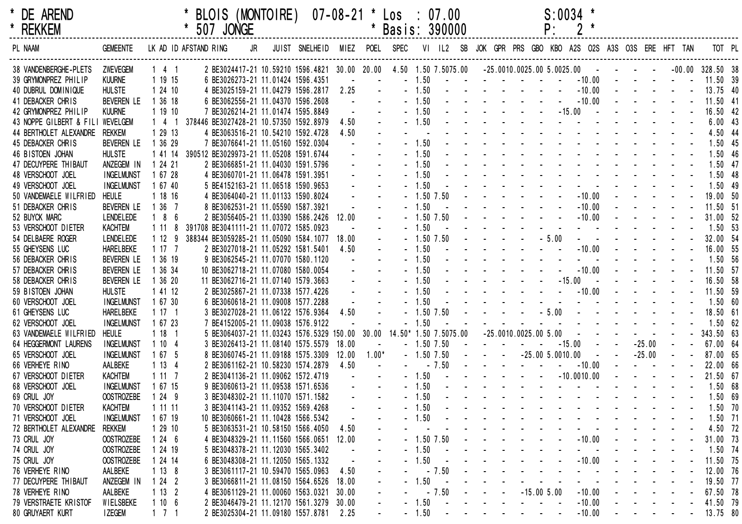| × | <b>DE ARENI</b> |  |
|---|-----------------|--|
| × | <b>RFKKFM</b>   |  |

|             | * BLOIS (MONTOIRE)  07-08-21 * Los : 07.00 | $S: 0034$ * |
|-------------|--------------------------------------------|-------------|
| * 507 JONGE | * Basis: 390000                            | $P: 2^*$    |

| * REKKEM                         |                   |                     |                       | 507 JONGE                                                         |                               |       |         | Basis: 390000               |                |           |  |                             |                   | P:      | $2*$                                            |  |          |                |                    |                |
|----------------------------------|-------------------|---------------------|-----------------------|-------------------------------------------------------------------|-------------------------------|-------|---------|-----------------------------|----------------|-----------|--|-----------------------------|-------------------|---------|-------------------------------------------------|--|----------|----------------|--------------------|----------------|
| PL NAAM                          | <b>GEMEENTE</b>   |                     | LK AD ID AFSTAND RING | JR                                                                | JUIST SNELHEID MIEZ POEL SPEC |       |         |                             |                | VI IL2 SB |  |                             |                   |         | JOK GPR PRS GBO KBO A2S O2S A3S O3S ERE HFT TAN |  |          |                | TOT PL             |                |
| 38 VANDENBERGHE-PLETS            | ZWEVEGEM          | 141                 |                       | 2 BE3024417-21 10.59210 1596.4821 30.00 20.00 4.50 1.50 7.5075.00 |                               |       |         |                             |                |           |  | $-25.0010.0025.005.0025.00$ |                   |         |                                                 |  |          |                | $-00.00$ 328.50 38 |                |
| 39 GRYMONPREZ PHILIP             | <b>KUURNE</b>     | 1 19 15             |                       | 6 BE3026273-21 11.01424 1596.4351                                 |                               |       |         | $-1.50$                     |                |           |  |                             |                   |         | $-10.00$                                        |  |          |                | 11.50 39           |                |
| 40 DUBRUL DOMINIQUE              | <b>HULSTE</b>     | 1 24 10             |                       | 4 BE3025159-21 11.04279 1596.2817                                 |                               | 2.25  |         |                             | 1.50           |           |  |                             |                   |         | $-10.00$                                        |  |          |                | 13.75 40           |                |
| 41 DEBACKER CHRIS                | <b>BEVEREN LE</b> | 1 36 18             |                       | 6 BE3062556-21 11.04370 1596.2608                                 |                               |       |         | $-1.50$                     |                |           |  |                             |                   |         | $-10.00$                                        |  |          |                | 11.50 41           |                |
| 42 GRYMONPREZ PHILIP             | <b>KUURNE</b>     | 1 19 10             |                       | 7 BE3026214-21 11.01474 1595.8849                                 |                               |       |         | $-1.50$                     |                |           |  |                             |                   |         | $-15.00$                                        |  |          |                | 16.50 42           |                |
| 43 NOPPE GILBERT & FILI WEVELGEM |                   | $\overline{4}$      |                       | 378446 BE3027428-21 10.57350 1592.8979                            |                               | 4.50  |         |                             | 1.50           |           |  |                             |                   |         |                                                 |  |          |                | 6.0043             |                |
| 44 BERTHOLET ALEXANDRE           | rekkem            | 1 29 13             |                       | 4 BE3063516-21 10.54210 1592.4728                                 |                               | 4.50  |         |                             |                |           |  |                             |                   |         |                                                 |  |          |                | 4.50               | -44            |
| 45 DEBACKER CHRIS                | <b>BEVEREN LE</b> | 1 36 29             |                       | 7 BE3076641-21 11.05160 1592.0304                                 |                               |       |         |                             |                |           |  |                             |                   |         |                                                 |  |          |                | 1.50               | 45             |
| 46 BISTOEN JOHAN                 | <b>HULSTE</b>     | 1 41 14             |                       | 390512 BE3029973-21 11.05208 1591.6744                            |                               |       |         | 1.50                        |                |           |  |                             |                   |         |                                                 |  |          |                | 1.50               | 46             |
| 47 DECUYPERE THIBAUT             | ANZEGEM IN        | 1 24 21             |                       | 2 BE3066851-21 11.04030 1591.5796                                 |                               |       |         |                             | 1.50           |           |  |                             |                   |         |                                                 |  |          |                | 1.50               | 4 <sub>1</sub> |
| 48 VERSCHOOT JOEL                | <b>INGELMUNST</b> | 1 67 28             |                       | 4 BE3060701-21 11.06478 1591.3951                                 |                               |       |         |                             | 1.50           |           |  |                             |                   |         |                                                 |  |          |                | 1.50               | 48             |
| 49 VERSCHOOT JOEL                | <b>INGELMUNST</b> | 1 67 40             |                       | 5 BE4152163-21 11.06518 1590.9653                                 |                               |       |         |                             |                |           |  |                             |                   |         |                                                 |  |          |                | 1.50               | 49             |
| 50 VANDEMAELE WILFRIED           | <b>HEULE</b>      | 1 18 16             |                       | 4 BE3064040-21 11.01133 1590.8024                                 |                               |       |         |                             | $-1.50$ $7.50$ |           |  |                             |                   |         | $-10.00$                                        |  |          |                | 19.00 50           |                |
| 51 DEBACKER CHRIS                | <b>BEVEREN LE</b> | 1 36 7              |                       | 8 BE3062531-21 11.05590 1587.3921                                 |                               |       |         |                             | .50            |           |  |                             |                   |         | $-10.00$                                        |  |          |                | 11.50 51           |                |
| 52 BUYCK MARC                    | <b>LENDELEDE</b>  | 186                 |                       | 2 BE3056405-21 11.03390 1586.2426                                 |                               | 12.00 |         |                             | $-1.50$ 7.50   |           |  |                             |                   |         | $-10.00$                                        |  |          |                | 31.00 52           |                |
| 53 VERSCHOOT DIETER              | <b>KACHTEM</b>    | 1 1 1               |                       | 391708 BE3041111-21 11.07072 1585.0923                            |                               |       |         |                             |                |           |  |                             |                   |         |                                                 |  |          |                | 1.50 53            |                |
| 54 DELBAERE ROGER                | <b>LENDELEDE</b>  | 112                 | g                     | 388344 BE3059285-21 11.05090 1584.1077                            |                               | 18.00 |         |                             | $-1.50$ 7.50   |           |  |                             |                   | $-5.00$ |                                                 |  |          |                | 32.00 54           |                |
| 55 GHEYSENS LUC                  | <b>HARELBEKE</b>  | 1 17 7              |                       | 2 BE3027018-21 11.05292 1581.5401                                 |                               | 4.50  |         | 1.50                        |                |           |  |                             |                   |         | $-10.00$                                        |  |          |                | 16.00 55           |                |
| 56 DEBACKER CHRIS                | <b>BEVEREN LE</b> | 1 36 19             |                       | 9 BE3062545-21 11.07070 1580.1120                                 |                               |       |         |                             | 1.50           |           |  |                             |                   |         |                                                 |  |          |                | 1.50 56            |                |
| 57 DEBACKER CHRIS                | <b>BEVEREN LE</b> | 1 36 34             |                       | 10 BE3062718-21 11.07080 1580.0054                                |                               |       |         | 1.50                        |                |           |  |                             |                   |         | $-10.00$                                        |  |          |                | 11.50 57           |                |
| 58 DEBACKER CHRIS                | <b>BEVEREN LE</b> | 1 36 20             |                       | 11 BE3062716-21 11.07140 1579.3663                                |                               |       |         | 1.50                        |                |           |  |                             |                   |         | $-15.00$                                        |  |          |                | 16.50 58           |                |
| 59 BISTOEN JOHAN                 | <b>HULSTE</b>     | 1 41 12             |                       | 2 BE3025867-21 11.07338 1577.4226                                 |                               |       |         | $-1.50$                     |                |           |  |                             |                   |         | $-10.00$                                        |  |          |                | 11.50 59           |                |
| 60 VERSCHOOT JOEL                | <b>INGELMUNST</b> | 1 67 30             |                       | 6 BE3060618-21 11.09008 1577.2288                                 |                               |       |         |                             |                |           |  |                             |                   |         |                                                 |  |          |                | 1.50               | - 60           |
| 61 GHEYSENS LUC                  | <b>HARELBEKE</b>  | 117 <sub>1</sub>    |                       | 3 BE3027028-21 11.06122 1576.9364                                 |                               | 4.50  |         |                             | $.50$ $7.50$   |           |  |                             |                   | $-5.00$ |                                                 |  |          |                | 18.50 61           |                |
| 62 VERSCHOOT JOEL                | <b>INGELMUNST</b> | 1 67 23             |                       | 7 BE4152005-21 11.09038 1576.9122                                 |                               |       |         |                             | - 50           |           |  |                             |                   |         |                                                 |  |          |                | $1.50$ 62          |                |
| 63 VANDEMAELE WILFRIED           | <b>HEULE</b>      | 118                 |                       | 5 BE3064037-21 11.03243 1576.5329 150.00                          |                               |       |         | 30.00 14.50* 1.50 7.5075.00 |                |           |  | $-25.0010.0025.005.00$      |                   |         |                                                 |  |          |                | 343.50 63          |                |
| 64 HEGGERMONT LAURENS            | <b>INGELMUNST</b> | 1104                |                       | 3 BE3026413-21 11.08140 1575.5579                                 |                               | 18.00 |         |                             | $-1.50$ 7.50   |           |  |                             |                   |         | $-15.00$                                        |  | $-25.00$ |                | 67.00 64           |                |
| 65 VERSCHOOT JOEL                | <b>INGELMUNST</b> | 1675                |                       | 8 BE3060745-21 11.09188 1575.3309                                 |                               | 12.00 | $1.00*$ |                             | $-1.50$ 7.50   |           |  |                             | $-25.005.0010.00$ |         |                                                 |  | $-25.00$ |                | 87.00 65           |                |
| 66 VERHEYE RINO                  | AALBEKE           | 1134                |                       | 2 BE3061162-21 10.58230 1574.2879                                 |                               | 4.50  |         |                             | $-7.50$        |           |  |                             |                   |         | $-10.00$                                        |  |          |                | 22.00 66           |                |
| 67 VERSCHOOT DIETER              | <b>KACHTEM</b>    | 1117                |                       | 2 BE3041136-21 11.09062 1572.4719                                 |                               |       |         | $-1.50$                     |                |           |  |                             |                   |         | $-10.0010.00$                                   |  |          |                | 21.50 67           |                |
| 68 VERSCHOOT JOEL                | <b>INGELMUNST</b> | 1 67 15             |                       | 9 BE3060613-21 11.09538 1571.6536                                 |                               |       |         | 1.50                        |                |           |  |                             |                   |         |                                                 |  |          |                | 1.50 68            |                |
| 69 CRUL JOY                      | <b>OOSTROZEBE</b> | 1249                |                       | 3 BE3048302-21 11.11070 1571.1582                                 |                               |       |         |                             | 1.50           |           |  |                             |                   |         |                                                 |  |          |                | 1.50 69            |                |
| 70 VERSCHOOT DIETER              | <b>KACHTEM</b>    | 1 11 11             |                       | 3 BE3041143-21 11.09352 1569.4268                                 |                               |       |         |                             | 1.50           |           |  |                             |                   |         |                                                 |  |          |                | $1.50$ 70          |                |
| 71 VERSCHOOT JOEL                | <b>INGELMUNST</b> | 1 67 19             |                       | 10 BE3060661-21 11.10428 1566.5342                                |                               |       |         |                             |                |           |  |                             |                   |         |                                                 |  |          |                | $1.50$ 71          |                |
| 72 BERTHOLET ALEXANDRE           | <b>REKKEM</b>     | 1 29 10             |                       | 5 BE3063531-21 10.58150 1566.4050                                 |                               | 4.50  |         |                             |                |           |  |                             |                   |         |                                                 |  |          |                | 4.50 72            |                |
| 73 CRUL JOY                      | <b>OOSTROZEBE</b> | 1246                |                       | 4 BE3048329-21 11.11560 1566.0651                                 |                               | 12.00 |         |                             | $-1.50$ 7.50   |           |  |                             |                   |         | $-10.00$                                        |  |          |                | 31.00 73           |                |
| 74 CRUL JOY                      | <b>OOSTROZEBE</b> | 1 24 19             |                       | 5 BE3048378-21 11.12030 1565.3402                                 |                               |       |         | $-1.50$                     |                |           |  |                             |                   |         |                                                 |  |          |                | 1.50 74            |                |
| 75 CRUL JOY                      | <b>OOSTROZEBE</b> | 1 24 14             |                       | 6 BE3048308-21 11.12050 1565.1332                                 |                               |       |         |                             | 1.50           |           |  |                             |                   |         | $-10.00$                                        |  |          |                | 11.50 75           |                |
| 76 VERHEYE RINO                  | AALBEKE           | 1138                |                       | 3 BE3061117-21 10.59470 1565.0963                                 |                               | 4.50  |         |                             | $-7.50$        |           |  |                             |                   |         |                                                 |  |          |                | 12.00 76           |                |
| 77 DECUYPERE THIBAUT             | ANZEGEM IN        | 1242                |                       | 3 BE3066811-21 11.08150 1564.6526                                 |                               | 18.00 |         | $-1.50$                     |                |           |  |                             |                   |         |                                                 |  |          |                | 19.50 77           |                |
| 78 VERHEYE RINO                  | AALBEKE           | 1132                |                       | 4 BE3061129-21 11.00060 1563.0321                                 |                               | 30.00 |         |                             | $-7.50$        |           |  |                             | $-15.005.00$      |         | $-10.00$                                        |  |          |                | 67.50 78           |                |
| 79 VERSTRAETE KRISTOF            | WIELSBEKE         | 1106                |                       | 2 BE3046479-21 11.12170 1561.3279                                 |                               | 30.00 |         | $-1.50$                     |                |           |  |                             |                   |         | $-10.00$                                        |  |          |                | 41.50 79           |                |
| 80 GRUYAERT KURT                 | <b>IZEGEM</b>     | $1 \quad 7 \quad 1$ |                       | 2 BE3025304-21 11.09180 1557.8781                                 |                               | 2.25  |         | $-1.50$                     |                |           |  |                             |                   |         | $-10.00$                                        |  |          | $\blacksquare$ | 13.75 80           |                |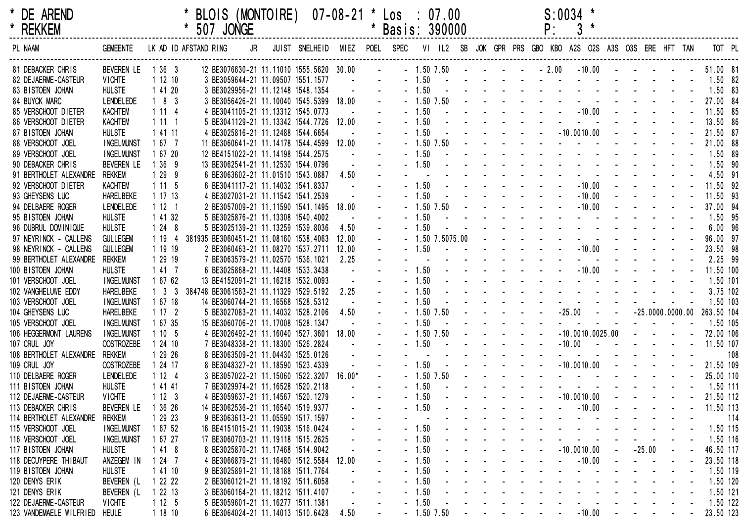| × | <b>DE AREND</b> |  |
|---|-----------------|--|
| × | <b>REKKEM</b>   |  |

| DE AREND      |             | * BLOIS (MONTOIRE)  07-08-21 * Los : 07.00 | $S: 0034$ * |
|---------------|-------------|--------------------------------------------|-------------|
| <b>REKKEM</b> | * 507 JONGE | * Basis: 390000                            |             |

| PL NAAM                        | <b>GEMEENTE</b>    |                     | LK AD ID AFSTAND RING |  | JR JUIST SNELHEID MIEZ POEL SPEC VI IL2 SB JOK GPR PRS GBO KBO A2S O2S A3S O3S ERE HFT TAN TOT PL |                          |                                               |  |                      |  |  |  |                                                                                                                                                                                                                               |  |                          |            |     |
|--------------------------------|--------------------|---------------------|-----------------------|--|---------------------------------------------------------------------------------------------------|--------------------------|-----------------------------------------------|--|----------------------|--|--|--|-------------------------------------------------------------------------------------------------------------------------------------------------------------------------------------------------------------------------------|--|--------------------------|------------|-----|
| 81 DEBACKER CHRIS              | BEVEREN LE 1 36 3  |                     |                       |  | 12 BE3076630-21 11.11010 1555.5620 30.00 - - 1.50 7.50 - - - - - 2.00 -10.00 - - - - -            |                          |                                               |  |                      |  |  |  |                                                                                                                                                                                                                               |  |                          | 51.00 81   |     |
| 82 DE JAERME-CASTEUR           | <b>VICHTE</b>      | 11210               |                       |  | 3 BE3059644-21 11.09507 1551.1577                                                                 | <b>Contract Contract</b> | $\sim 100$                                    |  |                      |  |  |  | $-1.50$                                                                                                                                                                                                                       |  |                          | 1.50 82    |     |
| 83 BISTOEN JOHAN               | <b>HULSTE</b>      | 1 41 20             |                       |  | 3 BE3029956-21 11.12148 1548.1354                                                                 |                          | $\Delta \sim 100$<br>$\Delta \sim 10$         |  |                      |  |  |  | $-1.50$ . The contract of the contract of the contract of the contract of the contract of the contract of the contract of the contract of the contract of the contract of the contract of the contract of the contract of the |  |                          | $1.50$ 83  |     |
| 84 BUYCK MARC                  | <b>LENDELEDE</b>   | $183$               |                       |  | 3 BE3056426-21 11.10040 1545.5399 18.00                                                           |                          | $\sim$                                        |  |                      |  |  |  |                                                                                                                                                                                                                               |  |                          | 27.00 84   |     |
| 85 VERSCHOOT DIETER            | KACHTEM            | 1114                |                       |  | 4 BE3041105-21 11.13312 1545.0773                                                                 |                          |                                               |  |                      |  |  |  | $-1.50$ $-10.00$                                                                                                                                                                                                              |  |                          | 11.50 85   |     |
| 86 VERSCHOOT DIETER            | <b>KACHTEM</b>     | 1111                |                       |  | 5 BE3041129-21 11.13342 1544.7726 12.00                                                           |                          | $\Delta \sim 10^{-1}$                         |  |                      |  |  |  | $-1.50$ . The set of the set of the set of the set of the set of the set of the set of the set of the set of the set of the set of the set of the set of the set of the set of the set of the set of the set of the set of th |  |                          | 13.50 86   |     |
| 87 BISTOEN JOHAN               | <b>HULSTE</b>      | 1 41 11             |                       |  | 4 BE3025816-21 11.12488 1544.6654                                                                 | $\sim$                   |                                               |  |                      |  |  |  | $-1.50$ $      -10.0010.00$ $    -$                                                                                                                                                                                           |  |                          | 21.50 87   |     |
| 88 VERSCHOOT JOEL              | <b>INGELMUNST</b>  | 1 67 7              |                       |  | 11 BE3060641-21 11.14178 1544.4599 12.00                                                          |                          | $\Delta \sim 10^{-1}$                         |  |                      |  |  |  |                                                                                                                                                                                                                               |  |                          | 21.00 88   |     |
| 89 VERSCHOOT JOEL              | <b>INGELMUNST</b>  | 1 67 20             |                       |  | 12 BE4151022-21 11.14198 1544.2575                                                                | $\sim 100$ km s $^{-1}$  |                                               |  |                      |  |  |  | . 1.50 <b>.</b>                                                                                                                                                                                                               |  |                          | 1.50 89    |     |
| 90 DEBACKER CHRIS              | BEVEREN LE         | 1 36 9              |                       |  | 13 BE3062541-21 11.12530 1544.0796                                                                |                          | $\sim 100$<br>$\sim$                          |  |                      |  |  |  | $-1.50$                                                                                                                                                                                                                       |  |                          | $1.50$ 90  |     |
| 91 BERTHOLET ALEXANDRE         | rekkem             | 1 29 9              |                       |  | 6 BE3063602-21 11.01510 1543.0887                                                                 | 4.50                     |                                               |  |                      |  |  |  | a construction of the construction of the construction of the construction of the construction of the construction of the construction of the construction of the construction of the construction of the construction of the |  |                          | 4.50 91    |     |
| 92 VERSCHOOT DIETER            | KACHTEM            | 1115                |                       |  | 6 BE3041117-21 11.14032 1541.8337                                                                 | $\sim 100$ km s $^{-1}$  |                                               |  |                      |  |  |  | $-1.50$ $-10.00$                                                                                                                                                                                                              |  |                          | 11.50 92   |     |
| 93 GHEYSENS LUC                | HARELBEKE          | 11713               |                       |  | 4 BE3027031-21 11.11542 1541.2539                                                                 | $\sim$                   |                                               |  |                      |  |  |  | $-1.50$ $-10.00$                                                                                                                                                                                                              |  |                          | 11.50 93   |     |
| 94 DELBAERE ROGER              | <b>LENDELEDE</b>   | 1121                |                       |  | 2 BE3057009-21 11.11590 1541.1495                                                                 | 18.00                    |                                               |  |                      |  |  |  | $-1.50 \t 7.50$ $      -10.00$ $    -$                                                                                                                                                                                        |  |                          | 37.00 94   |     |
| 95 BISTOEN JOHAN               | <b>HULSTE</b>      | 1 41 32             |                       |  | 5 BE3025876-21 11.13308 1540.4002                                                                 |                          |                                               |  |                      |  |  |  | - 1.50 <b>and a series of the series of the series of the series</b>                                                                                                                                                          |  |                          | 1.50 95    |     |
| 96 DUBRUL DOMINIQUE            | <b>HULSTE</b>      | 1248                |                       |  | 5 BE3025139-21 11.13259 1539.8036                                                                 | 4.50                     | $\sim$                                        |  |                      |  |  |  | - 1.50 <b>- - - - - - - - - - - -</b> - - - -                                                                                                                                                                                 |  |                          | 6.0096     |     |
| 97 NEYRINCK - CALLENS          | <b>GULLEGEM</b>    | 1 19 4              |                       |  | 381935 BE3060451-21 11.08160 1538.4063                                                            | 12.00                    |                                               |  |                      |  |  |  |                                                                                                                                                                                                                               |  |                          | 96.00 97   |     |
| 98 NEYRINCK - CALLENS          | <b>GULLEGEM</b>    | 1 19 19             |                       |  | 2 BE3060463-21 11.08270 1537.2711                                                                 | 12.00                    |                                               |  |                      |  |  |  | $-1.50$ $-10.00$                                                                                                                                                                                                              |  |                          | 23.50 98   |     |
| 99 BERTHOLET ALEXANDRE         | rekkem             | 1 29 19             |                       |  | 7 BE3063579-21 11.02570 1536.1021                                                                 | 2.25                     |                                               |  |                      |  |  |  | a construction of the construction of the construction of the construction of the construction of the construction of the construction of the construction of the construction of the construction of the construction of the |  |                          | 2.25 99    |     |
| 100 BISTOEN JOHAN              | <b>HULSTE</b>      | 1 41 7              |                       |  | 6 BE3025868-21 11.14408 1533.3438                                                                 | $\sim$                   |                                               |  |                      |  |  |  | $-1.50$ $        -10.00$ $    -$                                                                                                                                                                                              |  |                          | 11.50 100  |     |
| 101 VERSCHOOT JOEL             | <b>INGELMUNST</b>  | 1 67 62             |                       |  | 13 BE4152091-21 11.16218 1532.0093                                                                | $\omega$                 |                                               |  |                      |  |  |  | . 1.50 <b>.</b>                                                                                                                                                                                                               |  |                          | 1.50 101   |     |
| 102 VANGHELUWE EDDY            | <b>HARELBEKE</b>   | $1 \quad 3 \quad 3$ |                       |  | 384748 BE3061563-21 11.11329 1529.5192                                                            | 2.25                     |                                               |  |                      |  |  |  | $-1.50$ . The set of the set of the set of the set of the set of the set of the set of the set of the set of the set of the set of the set of the set of the set of the set of the set of the set of the set of the set of th |  |                          | 3.75 102   |     |
| 103 VERSCHOOT JOEL             | <b>INGELMUNST</b>  | 1 67 18             |                       |  | 14 BE3060744-21 11.16568 1528.5312                                                                | $\sim 100$               |                                               |  |                      |  |  |  | . 1.50 <b>.</b>                                                                                                                                                                                                               |  |                          | 1.50 103   |     |
| 104 GHEYSENS LUC               | <b>HARELBEKE</b>   | 1172                |                       |  | 5 BE3027083-21 11.14032 1528.2106                                                                 | 4.50                     | $\sim$                                        |  |                      |  |  |  | $-1.50$ 7.50 $      -25.00$ $  -25.0000.0000.00$ 263.50 104                                                                                                                                                                   |  |                          |            |     |
| 105 VERSCHOOT JOEL             | <b>INGELMUNST</b>  | 1 67 35             |                       |  | 15 BE3060706-21 11.17008 1528.1347                                                                | $\Delta \sim 100$        |                                               |  |                      |  |  |  | $-1.50$                                                                                                                                                                                                                       |  | <b>Contract Contract</b> | 1.50 105   |     |
| 106 HEGGERMONT LAURENS         | <b>INGELMUNST</b>  | 1105                |                       |  | 4 BE3026492-21 11.16040 1527.3601 18.00                                                           |                          | $\Delta \sim 10^{-1}$                         |  | $-1.50$ 7.50 $    -$ |  |  |  | $-10.0010.0025.00$ $   -$                                                                                                                                                                                                     |  |                          | 72.00 106  |     |
| 107 CRUL JOY                   | <b>OOSTROZEBE</b>  | 12410               |                       |  | 7 BE3048338-21 11.18300 1526.2824                                                                 | $\Delta \sim 100$        | $\Delta \sim 10$                              |  |                      |  |  |  | $-1.50$ $      -10.00$ $     -$                                                                                                                                                                                               |  |                          | 11.50 107  |     |
| 108 BERTHOLET ALEXANDRE        | rekkem             | 1 29 26             |                       |  | 8 BE3063509-21 11.04430 1525.0126                                                                 |                          |                                               |  |                      |  |  |  | a construction of the construction of the construction of the construction of the construction of the construction of the construction of the construction of the construction of the construction of the construction of the |  |                          |            | 108 |
| 109 CRUL JOY                   | <b>OOSTROZEBE</b>  | 1 24 17             |                       |  | 8 BE3048327-21 11.18590 1523.4339                                                                 |                          | $\Delta \sim 100$<br>$\Delta \sim 10$         |  |                      |  |  |  | $-1.50$ $     -10.0010.00$ $    -$                                                                                                                                                                                            |  |                          | 21.50 109  |     |
| 110 DELBAERE ROGER             | LENDELEDE          | 1124                |                       |  | 3 BE3057022-21 11.15060 1522.3207                                                                 | 16.00*                   | $\mathbf{u}$ .                                |  |                      |  |  |  |                                                                                                                                                                                                                               |  |                          | 25.00 110  |     |
| 111 BISTOEN JOHAN              | <b>HULSTE</b>      | 1 41 41             |                       |  | 7 BE3029974-21 11.16528 1520.2118                                                                 | $\sim 100$ km s $^{-1}$  |                                               |  |                      |  |  |  | $-1.50$ . The set of the set of the set of the set of the set of the set of the set of the set of the set of the set of the set of the set of the set of the set of the set of the set of the set of the set of the set of th |  |                          | 1.50 111   |     |
| 112 DE JAERME-CASTEUR          | <b>VICHTE</b>      | 1123                |                       |  | 4 BE3059637-21 11.14567 1520.1279                                                                 |                          | $\Delta \sim 10$                              |  | $-1.50$ $     -$     |  |  |  | $-10.0010.00$ $    -$                                                                                                                                                                                                         |  |                          | 21.50 112  |     |
| 113 DEBACKER CHRIS             | BEVEREN LE         | 1 36 26             |                       |  | 14 BE3062536-21 11.16540 1519.9377                                                                |                          | $\Delta \phi = 0.01$ and $\Delta \phi = 0.01$ |  |                      |  |  |  | - 1.50 - - - - - - - - - -10.00 - - - - - - 11.50 113                                                                                                                                                                         |  |                          |            |     |
| 114 BERTHOLET ALEXANDRE REKKEM |                    | 1 29 23             |                       |  | 9 BE3063613-21 11.05590 1517.1597                                                                 |                          | $\sim$ $^{-1}$                                |  |                      |  |  |  | a construction of the construction of the construction of the construction of the construction of the construction of the construction of the construction of the construction of the construction of the construction of the |  |                          |            | 114 |
| 115 VERSCHOOT JOEL             | INGELMUNST 1 67 52 |                     |                       |  | 16 BE4151015-21 11.19038 1516.0424                                                                |                          |                                               |  |                      |  |  |  | <u>. 1.50 1.50 115</u>                                                                                                                                                                                                        |  |                          |            |     |
| 116 VERSCHOOT JOEL             | INGELMUNST         | 1 67 27             |                       |  | 17 BE3060703-21 11.19118 1515.2625                                                                |                          |                                               |  |                      |  |  |  | - 1.50 <b>- - - - - - - - - - - - -</b> - -                                                                                                                                                                                   |  |                          | 1.50 116   |     |
| 117 BISTOEN JOHAN              | <b>HULSTE</b>      | 1 4 1 8             |                       |  | 8 BE3025870-21 11.17468 1514.9042                                                                 |                          |                                               |  |                      |  |  |  | $-1.50$ $     -10.0010.00$ $ -25.00$ $ -$                                                                                                                                                                                     |  |                          | 46.50 117  |     |
| 118 DECUYPERE THIBAUT          | ANZEGEM IN         | 1 24 7              |                       |  | 4 BE3066879-21 11.16480 1512.5584 12.00                                                           |                          |                                               |  |                      |  |  |  | $-1.50$ $       -10.00$ $   -$                                                                                                                                                                                                |  |                          | 23.50 118  |     |
| 119 BISTOEN JOHAN              | <b>HULSTE</b>      | 1 41 10             |                       |  | 9 BE3025891-21 11.18188 1511.7764                                                                 |                          |                                               |  |                      |  |  |  | $-1.50$ . The set of the set of the set of the set of the set of the set of the set of the set of the set of the set of the set of the set of the set of the set of the set of the set of the set of the set of the set of th |  |                          | 1.50 119   |     |
| 120 DENYS ERIK                 | BEVEREN (L         | 1 22 22             |                       |  | 2 BE3060121-21 11.18192 1511.6058                                                                 |                          |                                               |  |                      |  |  |  | . 1.50 <b>.</b> .                                                                                                                                                                                                             |  |                          | 1.50 120   |     |
| 121 DENYS ERIK                 | BEVEREN (L         | 1 22 13             |                       |  | 3 BE3060164-21 11.18212 1511.4107                                                                 |                          |                                               |  |                      |  |  |  | $-1.50$ . The contract of the contract of the contract of the contract of the contract of the contract of the contract of the contract of the contract of the contract of the contract of the contract of the contract of the |  |                          | 1.50 121   |     |
| 122 DE JAERME-CASTEUR          | <b>VICHTE</b>      | 1125                |                       |  | 5 BE3059601-21 11.16277 1511.1381                                                                 |                          |                                               |  |                      |  |  |  | $-1.50$ . The set of the set of the set of the set of the set of the set of the set of the set of the set of the set of the set of the set of the set of the set of the set of the set of the set of the set of the set of th |  |                          | $1.50$ 122 |     |
| 123 VANDEMAELE WILFRIED HEULE  |                    | 1 18 10             |                       |  | 6 BE3064024-21 11.14013 1510.6428 4.50                                                            |                          |                                               |  |                      |  |  |  | - 1.50 7.50 - - - - - - - - 10.00 - - - - - 23.50 123                                                                                                                                                                         |  |                          |            |     |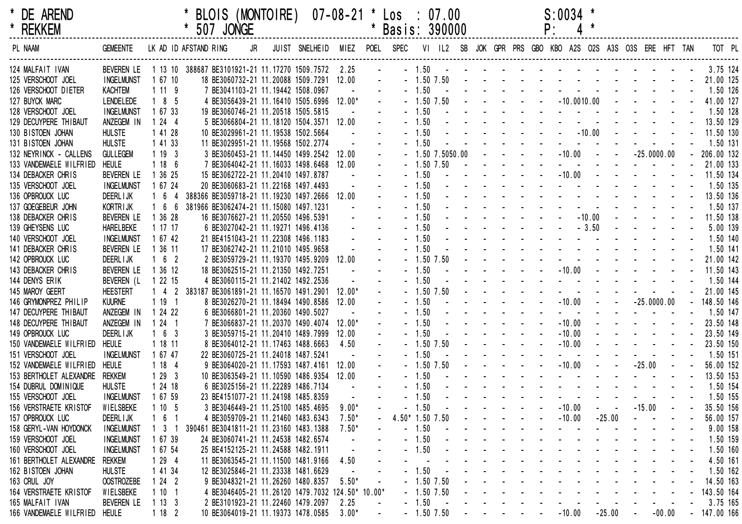| × | <b>DE AREND</b> |
|---|-----------------|
| × | DEKKEM          |

| * BLOIS (MONTOIRE)  07-08-21 * Los : 07.00 |  |  |                 | $S:0034$ * |  |
|--------------------------------------------|--|--|-----------------|------------|--|
| * 507 JONGE                                |  |  | * Basis: 390000 | $P: 4$ *   |  |

| * REKKEM                      |                                                                |                   | * 507 JONGE                                      |  |                                                                                                    |          |                          | Basis: 390000   |         |                                                                                                                                                                                                                                |                                    |  | P:                                                                                                                                                                                                                                |                               |            |                               |          |                |  |
|-------------------------------|----------------------------------------------------------------|-------------------|--------------------------------------------------|--|----------------------------------------------------------------------------------------------------|----------|--------------------------|-----------------|---------|--------------------------------------------------------------------------------------------------------------------------------------------------------------------------------------------------------------------------------|------------------------------------|--|-----------------------------------------------------------------------------------------------------------------------------------------------------------------------------------------------------------------------------------|-------------------------------|------------|-------------------------------|----------|----------------|--|
| PL NAAM                       | GEMEENTE LK AD ID AFSTAND RING                                 |                   |                                                  |  | JR JUIST SNELHEID MIEZ POEL SPEC VI IL2 SB JOK GPR PRS GBO KBO A2S O2S A3S O3S ERE HFT TANT TOT PL |          |                          |                 |         |                                                                                                                                                                                                                                |                                    |  |                                                                                                                                                                                                                                   |                               |            |                               |          |                |  |
| 124 MALFAIT IVAN              | BEVEREN LE 1 13 10 388687 BE3101921-21 11.17270 1509.7572 2.25 |                   |                                                  |  |                                                                                                    |          | <b>Contract Contract</b> |                 |         |                                                                                                                                                                                                                                |                                    |  |                                                                                                                                                                                                                                   |                               |            |                               |          |                |  |
| 125 VERSCHOOT JOEL            | INGELMUNST                                                     | 1 67 10           | 18 BE3060732-21 11.20088 1509.7291 12.00         |  |                                                                                                    |          | $\sim$                   |                 |         |                                                                                                                                                                                                                                |                                    |  |                                                                                                                                                                                                                                   |                               |            |                               |          |                |  |
| 126 VERSCHOOT DIETER          | KACHTEM                                                        | 1119              | 7 BE3041103-21 11.19442 1508.0967                |  |                                                                                                    |          |                          |                 | $-1.50$ | and the contract of the contract of the contract of the contract of the contract of the contract of the contract of the contract of the contract of the contract of the contract of the contract of the contract of the contra |                                    |  |                                                                                                                                                                                                                                   |                               |            |                               |          | 1.50 126       |  |
| 127 BUYCK MARC                | LENDELEDE                                                      | 1 8 5             | 4 BE3056439-21 11.16410 1505.6996 12.00*         |  |                                                                                                    |          |                          |                 |         | $-1.50$ 7.50 $     -10.0010.00$ $    -$                                                                                                                                                                                        |                                    |  |                                                                                                                                                                                                                                   |                               |            |                               |          | 41.00 127      |  |
| 128 VERSCHOOT JOEL            | <b>INGELMUNST</b>                                              | 1 67 33           | 19 BE3060746-21 11.20518 1505.5815               |  |                                                                                                    |          |                          |                 | $-1.50$ |                                                                                                                                                                                                                                |                                    |  | the contract of the contract of the contract of the                                                                                                                                                                               |                               |            |                               |          | 1.50 128       |  |
| 129 DECUYPERE THIBAUT         | ANZEGEM IN                                                     | 1244              | 5 BE3066804-21 11.18120 1504.3571 12.00          |  |                                                                                                    |          |                          |                 | $-1.50$ |                                                                                                                                                                                                                                |                                    |  | the contract of the contract of the contract of                                                                                                                                                                                   |                               |            |                               |          | 13.50 129      |  |
| 130 BISTOEN JOHAN             | <b>HULSTE</b>                                                  | 1 41 28           | 10 BE3029961-21 11.19538 1502.5664               |  |                                                                                                    |          |                          |                 | $-1.50$ |                                                                                                                                                                                                                                |                                    |  |                                                                                                                                                                                                                                   |                               |            |                               |          | 11.50 130      |  |
| 131 BISTOEN JOHAN             | <b>HULSTE</b>                                                  | 1 41 33           | 11 BE3029951-21 11.19568 1502.2774               |  |                                                                                                    |          |                          |                 | $-1.50$ |                                                                                                                                                                                                                                |                                    |  | the second contract of the second contract of                                                                                                                                                                                     |                               |            |                               |          | 1.50 131       |  |
| 132 NEYRINCK - CALLENS        | <b>GULLEGEM</b>                                                | 1193              | 3 BE3060453-21 11.14450 1499.2542 12.00          |  |                                                                                                    |          |                          |                 |         | $-1.50$ 7.5050.00 $   -10.00$ $ -25.0000.00$                                                                                                                                                                                   |                                    |  |                                                                                                                                                                                                                                   |                               |            |                               |          | $-206.00132$   |  |
| 133 VANDEMAELE WILFRIED       | <b>HEULE</b>                                                   | 1186              | 7 BE3064042-21 11.16033 1498.6468 12.00          |  |                                                                                                    |          |                          |                 |         |                                                                                                                                                                                                                                |                                    |  |                                                                                                                                                                                                                                   |                               |            |                               |          | 21.00 133      |  |
| 134 DEBACKER CHRIS            | BEVEREN LE                                                     | 1 36 25           | 15 BE3062722-21 11.20410 1497.8787               |  |                                                                                                    |          |                          |                 | $-1.50$ |                                                                                                                                                                                                                                |                                    |  | . - 10.00 - - - - - - -                                                                                                                                                                                                           |                               |            |                               |          | 11.50 134      |  |
| 135 VERSCHOOT JOEL            | <b>INGELMUNST</b>                                              | 1 67 24           | 20 BE3060683-21 11.22168 1497.4493               |  |                                                                                                    |          |                          |                 | $-1.50$ |                                                                                                                                                                                                                                |                                    |  | the contract of the contract of the contract of                                                                                                                                                                                   |                               |            |                               |          | 1.50 135       |  |
| 136 OPBROUCK LUC              | <b>DEERL I JK</b>                                              | 1 6 4             | 388366 BE3059718-21 11.19230 1497.2666 12.00     |  |                                                                                                    |          |                          |                 | $-1.50$ |                                                                                                                                                                                                                                |                                    |  | the contract of the contract of the contract of                                                                                                                                                                                   |                               |            |                               |          | 13.50 136      |  |
| 137 GOEGEBEUR JOHN            | KORTRIJK                                                       | 166               | 381966 BE3062474-21 11.15080 1497.1231           |  |                                                                                                    |          |                          |                 | $-1.50$ |                                                                                                                                                                                                                                |                                    |  | the second contract of the second contract of                                                                                                                                                                                     |                               |            |                               |          | 1.50 137       |  |
| 138 DEBACKER CHRIS            | BEVEREN LE                                                     | 1 36 28           | 16 BE3076627-21 11.20550 1496.5391               |  |                                                                                                    |          |                          |                 | $-1.50$ |                                                                                                                                                                                                                                |                                    |  |                                                                                                                                                                                                                                   |                               |            |                               |          | 11.50 138      |  |
| 139 GHEYSENS LUC              | <b>HARELBEKE</b>                                               | 1 17 17           | 6 BE3027042-21 11.19271 1496.4136                |  |                                                                                                    |          |                          |                 | $-1.50$ |                                                                                                                                                                                                                                |                                    |  | $\frac{1}{2}$ . The contract of the contract of the contract of the contract of the contract of the contract of the contract of the contract of the contract of the contract of the contract of the contract of the contract of t |                               |            |                               |          | 5.00 139       |  |
| 140 VERSCHOOT JOEL            | <b>INGELMUNST</b>                                              | 1 67 42           | 21 BE4151043-21 11.22308 1496.1183               |  |                                                                                                    |          |                          |                 | $-1.50$ |                                                                                                                                                                                                                                |                                    |  | the contract of the contract of the contract of                                                                                                                                                                                   |                               |            |                               |          | 1.50 140       |  |
| 141 DEBACKER CHRIS            | <b>BEVEREN LE</b>                                              | 1 36 11           | 17 BE3062742-21 11.21010 1495.9658               |  |                                                                                                    |          |                          |                 | $-1.50$ |                                                                                                                                                                                                                                |                                    |  | the second contract of the second contract of                                                                                                                                                                                     |                               |            |                               |          | 1.50 141       |  |
| 142 OPBROUCK LUC              | DEERL I JK                                                     | 162               | 2 BE3059729-21 11.19370 1495.9209 12.00          |  |                                                                                                    |          |                          |                 |         |                                                                                                                                                                                                                                |                                    |  |                                                                                                                                                                                                                                   |                               |            |                               |          | 21.00 142      |  |
| 143 DEBACKER CHRIS            | <b>BEVEREN LE</b>                                              | 1 36 12           | 18 BE3062515-21 11.21350 1492.7251               |  |                                                                                                    |          |                          |                 | $-1.50$ |                                                                                                                                                                                                                                |                                    |  |                                                                                                                                                                                                                                   |                               |            |                               |          | 11.50 143      |  |
| 144 DENYS ERIK                | BEVEREN (L                                                     | 1 22 15           | 4 BE3060115-21 11.21402 1492.2536                |  |                                                                                                    |          |                          |                 | $-1.50$ |                                                                                                                                                                                                                                |                                    |  | the contract of the contract of the contract of                                                                                                                                                                                   |                               |            |                               |          | 1.50 144       |  |
| 145 MAROY GEERT               | <b>HEESTERT</b>                                                |                   | 1 4 2 383187 BE3061891-21 11.16570 1491.2901     |  |                                                                                                    | $12.00*$ |                          |                 |         |                                                                                                                                                                                                                                |                                    |  |                                                                                                                                                                                                                                   |                               |            |                               |          | 21.00 145      |  |
| 146 GRYMONPREZ PHILIP         | <b>KUURNE</b>                                                  | 1191              | 8 BE3026270-21 11.18494 1490.8586                |  |                                                                                                    | 12.00    |                          |                 | $-1.50$ |                                                                                                                                                                                                                                |                                    |  |                                                                                                                                                                                                                                   |                               |            |                               |          | $- 148.50$ 146 |  |
| 147 DECUYPERE THIBAUT         | ANZEGEM IN                                                     | 1 24 22           | 6 BE3066801-21 11.20360 1490.5027                |  |                                                                                                    |          |                          |                 | $-1.50$ |                                                                                                                                                                                                                                | and the state of the state of      |  |                                                                                                                                                                                                                                   | and a series of the series of |            |                               |          | 1.50 147       |  |
| 148 DECUYPERE THIBAUT         | ANZEGEM IN                                                     | 1 24 1            | 7 BE3066837-21 11.20370 1490.4074 12.00*         |  |                                                                                                    |          |                          |                 | $-1.50$ |                                                                                                                                                                                                                                | and the second control of the      |  |                                                                                                                                                                                                                                   | $-10.00$ $     -$             |            |                               |          | 23.50 148      |  |
| 149 OPBROUCK LUC              | DEERL I JK                                                     | 163               | 3 BE3059715-21 11.20410 1489.7999                |  |                                                                                                    | 12.00    |                          |                 | $-1.50$ |                                                                                                                                                                                                                                | and the company of the second      |  |                                                                                                                                                                                                                                   | $-10.00$ $     -$             |            |                               |          | 23.50 149      |  |
| 150 VANDEMAELE WILFRIED       | <b>HEULE</b>                                                   | 1 18 11           | 8 BE3064012-21 11.17463 1488.6663                |  |                                                                                                    | 4.50     |                          |                 |         | $-1.50$ $7.50$                                                                                                                                                                                                                 | and the state of the state         |  |                                                                                                                                                                                                                                   | $-10.00$                      |            | and the state of the state of |          | 23.50 150      |  |
| 151 VERSCHOOT JOEL            | <b>INGELMUNST</b>                                              | 1 67 47           | 22 BE3060725-21 11.24018 1487.5241               |  |                                                                                                    |          |                          |                 | $-1.50$ |                                                                                                                                                                                                                                | and the state of the state of      |  |                                                                                                                                                                                                                                   |                               |            |                               |          | 1.50 151       |  |
| 152 VANDEMAELE WILFRIED       | <b>HEULE</b>                                                   | 1184              | 9 BE3064020-21 11.17593 1487.4161 12.00          |  |                                                                                                    |          |                          |                 |         | $-1.50$ $7.50$                                                                                                                                                                                                                 |                                    |  | $       10.00$ $    25.00$                                                                                                                                                                                                        |                               |            |                               |          | 56.00 152      |  |
| 153 BERTHOLET ALEXANDRE       | rekkem                                                         | 1293              | 10 BE3063549-21 11.10590 1486.9354 12.00         |  |                                                                                                    |          |                          |                 | $-1.50$ |                                                                                                                                                                                                                                |                                    |  | the second contract of the second contract of the second contract of the second contract of the second contract of the second contract of the second contract of the second contract of the second contract of the second cont    |                               |            |                               |          | 13.50 153      |  |
| 154 DUBRUL DOMINIQUE          | <b>HULSTE</b>                                                  | 1 24 18           | 6 BE3025156-21 11.22289 1486.7134                |  |                                                                                                    |          |                          |                 | $-1.50$ |                                                                                                                                                                                                                                |                                    |  | the contract of the contract of the contract of                                                                                                                                                                                   |                               |            |                               |          | 1.50 154       |  |
| 155 VERSCHOOT JOEL            | <b>INGELMUNST</b>                                              | 1 67 59           | 23 BE4151077-21 11.24198 1485.8359               |  |                                                                                                    |          |                          |                 | $-1.50$ |                                                                                                                                                                                                                                |                                    |  | the second contract of the second contract of                                                                                                                                                                                     |                               |            |                               |          | 1.50 155       |  |
| 156 VERSTRAETE KRISTOF        | WIELSBEKE                                                      | 1105              | 3 BE3046449-21 11.25100 1485.4695                |  |                                                                                                    | $9.00*$  |                          |                 | $-1.50$ |                                                                                                                                                                                                                                | <b>Carl Street Control Control</b> |  |                                                                                                                                                                                                                                   | $-10.00$                      |            | $  -15.00$ $ -$               |          | 35.50 156      |  |
| 157 OPBROUCK LUC              | DEERL I JK                                                     | $1\quad 6\quad 1$ | 4 BE3059709-21 11.21460 1483.6343                |  |                                                                                                    | $7.50*$  |                          | 4.50* 1.50 7.50 |         |                                                                                                                                                                                                                                |                                    |  |                                                                                                                                                                                                                                   | $-10.00 -25.00$               |            |                               |          | 56.00 157      |  |
| 158 GERYL-VAN HOYDONCK        | <b>INGELMUNST</b>                                              | - 3               | 390461 BE3041811-21 11.23160 1483.1388           |  |                                                                                                    | $7.50*$  |                          |                 | $-1.50$ |                                                                                                                                                                                                                                |                                    |  |                                                                                                                                                                                                                                   |                               |            |                               |          | 9.00 158       |  |
| 159 VERSCHOOT JOEL            | <b>INGELMUNST</b>                                              | 1 67 39           | 24 BE3060741-21 11.24538 1482.6574               |  |                                                                                                    |          |                          |                 | $-1.50$ |                                                                                                                                                                                                                                |                                    |  |                                                                                                                                                                                                                                   |                               |            |                               |          | 1.50 159       |  |
| 160 VERSCHOOT JOEL            | <b>INGELMUNST</b>                                              | 1 67 54           | 25 BE4152125-21 11.24588 1482.1911               |  |                                                                                                    |          |                          |                 | $-1.50$ |                                                                                                                                                                                                                                |                                    |  |                                                                                                                                                                                                                                   |                               |            |                               |          | 1.50 160       |  |
| 161 BERTHOLET ALEXANDRE       | rekkem                                                         | 1 29 4            | 11 BE3063545-21 11.11500 1481.9166               |  |                                                                                                    | 4.50     |                          |                 |         |                                                                                                                                                                                                                                |                                    |  |                                                                                                                                                                                                                                   |                               |            |                               |          | 4.50 161       |  |
| 162 BISTOEN JOHAN             | <b>HULSTE</b>                                                  | 1 41 34           | 12 BE3025846-21 11.23338 1481.6629               |  |                                                                                                    |          |                          |                 | $-1.50$ |                                                                                                                                                                                                                                |                                    |  |                                                                                                                                                                                                                                   |                               |            |                               |          | 1.50 162       |  |
| 163 CRUL JOY                  | <b>OOSTROZEBE</b>                                              | 1242              | 9 BE3048321-21 11.26260 1480.8357                |  |                                                                                                    | $5.50*$  |                          |                 |         | $-1.50$ 7.50                                                                                                                                                                                                                   |                                    |  |                                                                                                                                                                                                                                   |                               |            |                               |          | 14.50 163      |  |
| 164 VERSTRAETE KRISTOF        | WIELSBEKE                                                      | 1101              | 4 BE3046405-21 11.26120 1479.7032 124.50* 10.00* |  |                                                                                                    |          |                          |                 |         | $-1.50$ $7.50$                                                                                                                                                                                                                 |                                    |  |                                                                                                                                                                                                                                   |                               |            |                               |          | 143.50 164     |  |
| 165 MALFAIT IVAN              | BEVEREN LE                                                     | 1133              | 2 BE3101923-21 11.22460 1479.2097                |  |                                                                                                    | 2.25     |                          |                 | $-1.50$ |                                                                                                                                                                                                                                |                                    |  |                                                                                                                                                                                                                                   |                               |            |                               |          | 3.75 165       |  |
| 166 VANDEMAELE WILFRIED HEULE |                                                                | 1182              | 10 BE3064019-21 11.19373 1478.0585               |  |                                                                                                    | $3.00*$  |                          |                 |         | $-1.50$ $7.50$                                                                                                                                                                                                                 |                                    |  | $      -$ 10.00                                                                                                                                                                                                                   |                               | $-25.00 -$ |                               | $-00.00$ | $-147.00$ 166  |  |